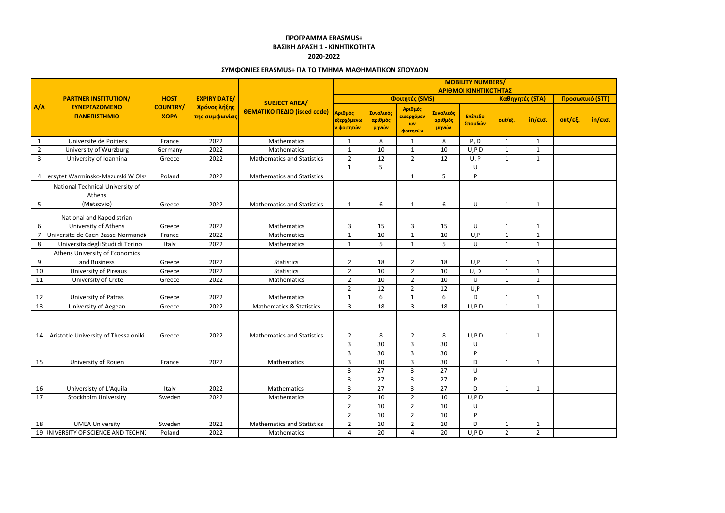|                |                                                              |                                        |                                                                   |                                                     | <b>MOBILITY NUMBERS/</b><br>ΑΡΙΘΜΟΙ ΚΙΝΗΤΙΚΟΤΗΤΑΣ |                               |                                                 |                               |                    |                 |              |                 |                   |
|----------------|--------------------------------------------------------------|----------------------------------------|-------------------------------------------------------------------|-----------------------------------------------------|---------------------------------------------------|-------------------------------|-------------------------------------------------|-------------------------------|--------------------|-----------------|--------------|-----------------|-------------------|
|                | <b>PARTNER INSTITUTION/</b><br>ΣΥΝΕΡΓΑΖΟΜΕΝΟ<br>ΠΑΝΕΠΙΣΤΗΜΙΟ | <b>HOST</b><br><b>COUNTRY/</b><br>ΧΩΡΑ | <b>EXPIRY DATE/</b><br>Χρόνος λήξης<br><mark>της συμφωνίας</mark> | <b>SUBJECT AREA/</b><br>ΘΕΜΑΤΙΚΟ ΠΕΔΙΟ (isced code) |                                                   |                               |                                                 |                               |                    |                 |              |                 |                   |
|                |                                                              |                                        |                                                                   |                                                     | Φοιτητές (SMS)                                    |                               |                                                 |                               |                    | Καθηγητές (STA) |              | Προσωπικό (STT) |                   |
| A/A            |                                                              |                                        |                                                                   |                                                     | Αριθμός<br>εξερχόμενω<br><mark>ν φοιτητών</mark>  | Συνολικός<br>αριθμός<br>μηνών | Αριθμός<br>εισερχόμεν<br>$\omega$ v<br>φοιτητών | Συνολικός<br>αριθμός<br>μηνών | Επίπεδο<br>Σπουδών | out/εξ.         | in/εισ.      | $out/ε\xi$ .    | $in/\epsilon$ ισ. |
| $\mathbf{1}$   | Universite de Poitiers                                       | France                                 | 2022                                                              | Mathematics                                         | 1                                                 | 8                             | 1                                               | 8                             | P, D               | $\mathbf{1}$    | $\mathbf{1}$ |                 |                   |
| $\overline{2}$ | University of Wurzburg                                       | Germany                                | 2022                                                              | Mathematics                                         | 1                                                 | 10                            | -1                                              | 10                            | U, P, D            | 1               | $\mathbf{1}$ |                 |                   |
| 3              | University of Ioannina                                       | Greece                                 | 2022                                                              | <b>Mathematics and Statistics</b>                   | $\overline{2}$                                    | 12                            | $\overline{2}$                                  | 12                            | U, P               | 1               | 1            |                 |                   |
| 4              | ersytet Warminsko-Mazurski W Olsz                            | Poland                                 | 2022                                                              | <b>Mathematics and Statistics</b>                   | $\mathbf{1}$                                      | 5                             | -1                                              | 5                             | U<br>P             |                 |              |                 |                   |
| 5              | National Technical University of<br>Athens<br>(Metsovio)     | Greece                                 | 2022                                                              | <b>Mathematics and Statistics</b>                   | $\mathbf{1}$                                      | 6                             | $\mathbf{1}$                                    | 6                             | U                  | $\mathbf{1}$    | $\mathbf{1}$ |                 |                   |
| 6              | National and Kapodistrian<br>University of Athens            | Greece                                 | 2022                                                              | Mathematics                                         | 3                                                 | 15                            | 3                                               | 15                            | U                  | $\mathbf{1}$    | $\mathbf{1}$ |                 |                   |
|                | Universite de Caen Basse-Normandi                            | France                                 | 2022                                                              | Mathematics                                         | $\mathbf{1}$                                      | 10                            | $\mathbf{1}$                                    | 10                            | U, P               | $\mathbf{1}$    | $\mathbf{1}$ |                 |                   |
| 8              | Universita degli Studi di Torino                             | Italy                                  | 2022                                                              | Mathematics                                         | $\mathbf{1}$                                      | 5                             | $\mathbf{1}$                                    | 5                             | U                  | $\mathbf{1}$    | $\mathbf{1}$ |                 |                   |
|                | Athens University of Economics                               |                                        |                                                                   |                                                     |                                                   |                               |                                                 |                               |                    |                 |              |                 |                   |
| 9              | and Business                                                 | Greece                                 | 2022                                                              | Statistics                                          | $\overline{2}$                                    | 18                            | $\overline{2}$                                  | 18                            | U, P               | $\mathbf{1}$    | $\mathbf{1}$ |                 |                   |
| 10             | <b>University of Pireaus</b>                                 | Greece                                 | 2022                                                              | <b>Statistics</b>                                   | $\overline{2}$                                    | 10                            | $\overline{2}$                                  | 10                            | U, D               | $\mathbf{1}$    | $\mathbf{1}$ |                 |                   |
| 11             | University of Crete                                          | Greece                                 | 2022                                                              | Mathematics                                         | $\overline{2}$                                    | 10                            | $\overline{2}$                                  | 10                            | U                  | $\mathbf{1}$    | $\mathbf{1}$ |                 |                   |
|                |                                                              |                                        |                                                                   |                                                     | $\overline{2}$                                    | 12                            | $\overline{2}$                                  | 12                            | U, P               |                 |              |                 |                   |
| 12             | University of Patras                                         | Greece                                 | 2022                                                              | Mathematics                                         | 1                                                 | 6                             | -1                                              | 6                             | D                  | 1               | 1            |                 |                   |
| 13             | University of Aegean                                         | Greece                                 | 2022                                                              | <b>Mathematics &amp; Statistics</b>                 | 3                                                 | 18                            | $\mathbf{3}$                                    | 18                            | U, P, D            | $\mathbf{1}$    | $\mathbf{1}$ |                 |                   |
| 14             | Aristotle University of Thessaloniki                         | Greece                                 | 2022                                                              | <b>Mathematics and Statistics</b>                   | $\overline{2}$                                    | 8                             | $\overline{2}$                                  | 8                             | U, P, D            | $\mathbf{1}$    | $\mathbf{1}$ |                 |                   |
|                |                                                              |                                        |                                                                   |                                                     | 3                                                 | 30                            | 3                                               | 30                            | U                  |                 |              |                 |                   |
|                |                                                              |                                        |                                                                   |                                                     | 3                                                 | 30                            | 3                                               | 30                            | P                  |                 |              |                 |                   |
| 15             | University of Rouen                                          | France                                 | 2022                                                              | <b>Mathematics</b>                                  | 3                                                 | 30                            | 3                                               | 30                            | D                  | $\mathbf{1}$    | $\mathbf{1}$ |                 |                   |
|                |                                                              |                                        |                                                                   |                                                     | 3                                                 | 27                            | $\mathbf{3}$                                    | 27                            | U                  |                 |              |                 |                   |
|                |                                                              |                                        |                                                                   |                                                     | 3                                                 | 27                            | 3                                               | 27                            | P                  |                 |              |                 |                   |
| 16             | Universisty of L'Aquila                                      | Italy                                  | 2022                                                              | Mathematics                                         | 3                                                 | 27                            | 3                                               | 27                            | D                  | $\mathbf{1}$    | $\mathbf{1}$ |                 |                   |
| $17$           | <b>Stockholm University</b>                                  | Sweden                                 | 2022                                                              | Mathematics                                         | $\overline{2}$                                    | 10                            | $2^{\circ}$                                     | 10                            | U, P, D            |                 |              |                 |                   |
|                |                                                              |                                        |                                                                   |                                                     | $\overline{2}$                                    | 10                            | $\overline{2}$                                  | 10                            | U                  |                 |              |                 |                   |
|                |                                                              |                                        |                                                                   |                                                     | $\overline{2}$                                    | 10                            | $\overline{2}$                                  | 10                            | P                  |                 |              |                 |                   |
| 18             | <b>UMEA University</b>                                       | Sweden                                 | 2022                                                              | <b>Mathematics and Statistics</b>                   | $\overline{2}$                                    | 10                            | $\overline{2}$                                  | 10                            | D                  | $\mathbf{1}$    | $\mathbf{1}$ |                 |                   |
|                | 19 INIVERSITY OF SCIENCE AND TECHNO                          | Poland                                 | 2022                                                              | Mathematics                                         | 4                                                 | 20                            | 4                                               | 20                            | U, P, D            | $2^{\circ}$     | $2^{\circ}$  |                 |                   |

## **ΠΡΟΓΡΑΜΜΑ ERASMUS+ ΒΑΣΙΚΗ ΔΡΑΣΗ 1 - ΚΙΝΗΤΙΚΟΤΗΤΑ 2020-2022**

## **ΣΥΜΦΩΝΙΕΣ ERASMUS+ ΓΙΑ ΤΟ ΤΜΗΜΑ ΜΑΘΗΜΑΤΙΚΩΝ ΣΠΟΥΔΩΝ**